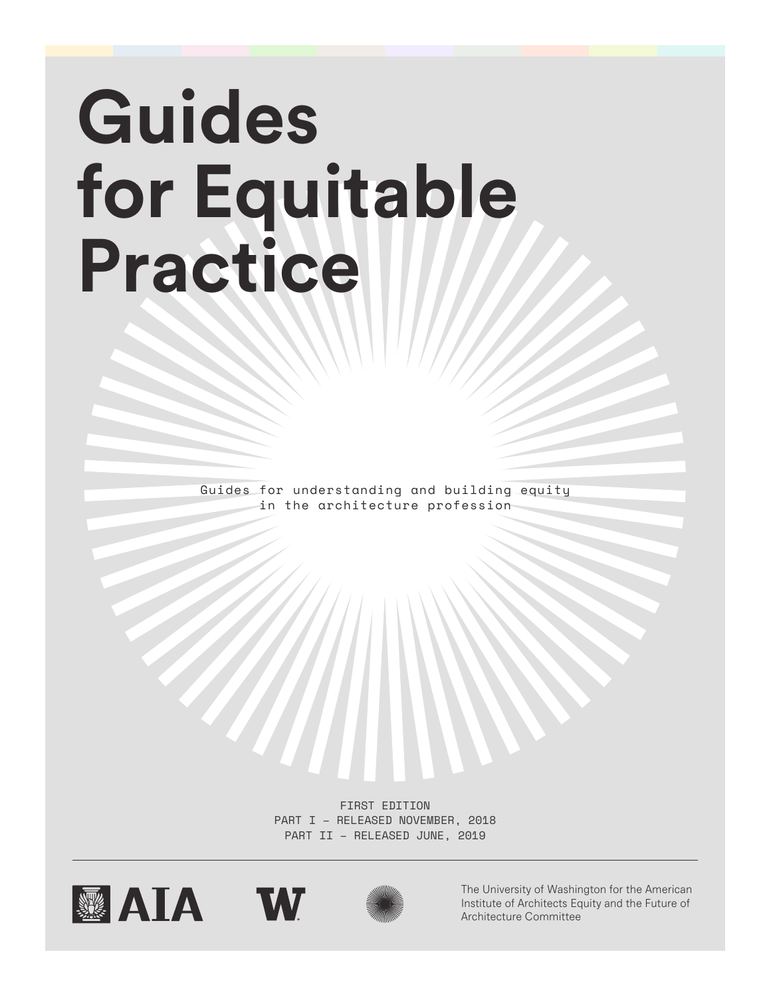# **Guides for Equitable Practice**

Guides for understanding and building equity in the architecture profession

> FIRST EDITION PART I – RELEASED NOVEMBER, 2018 PART II – RELEASED JUNE, 2019







The University of Washington for the American Institute of Architects Equity and the Future of Architecture Committee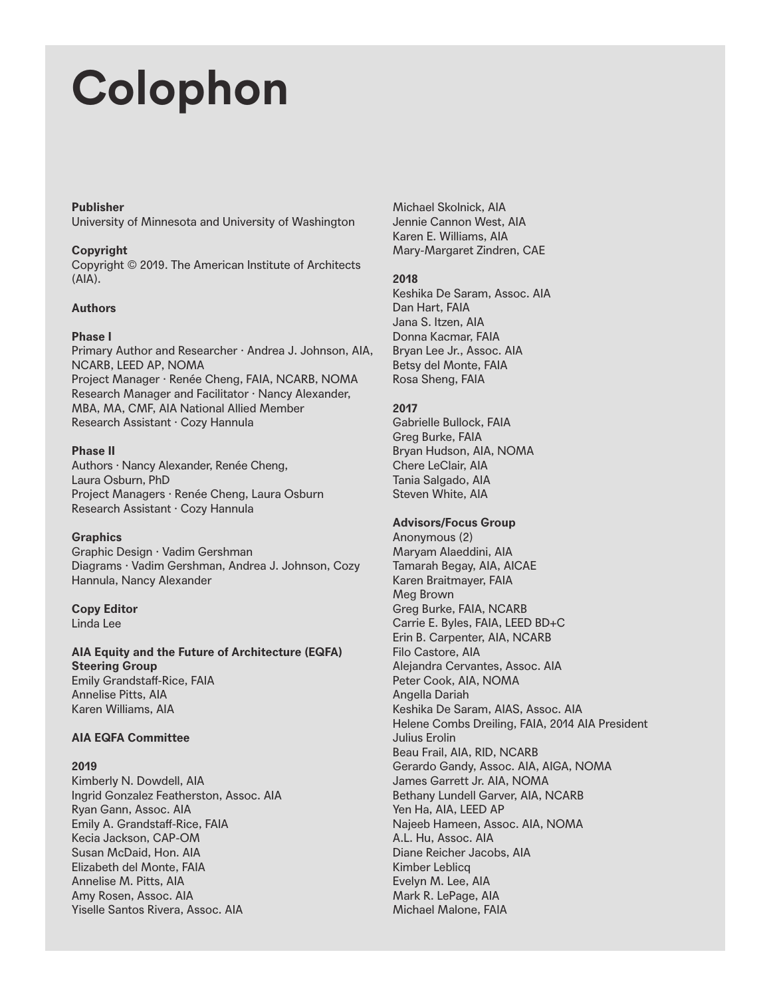## **Colophon**

#### **Publisher**

University of Minnesota and University of Washington

#### **Copyright**

Copyright © 2019. The American Institute of Architects (AIA).

#### **Authors**

#### **Phase I**

Primary Author and Researcher · Andrea J. Johnson, AIA, NCARB, LEED AP, NOMA Project Manager · Renée Cheng, FAIA, NCARB, NOMA Research Manager and Facilitator · Nancy Alexander, MBA, MA, CMF, AIA National Allied Member Research Assistant · Cozy Hannula

#### **Phase II**

Authors · Nancy Alexander, Renée Cheng, Laura Osburn, PhD Project Managers · Renée Cheng, Laura Osburn Research Assistant · Cozy Hannula

#### **Graphics**

Graphic Design · Vadim Gershman Diagrams · Vadim Gershman, Andrea J. Johnson, Cozy Hannula, Nancy Alexander

### **Copy Editor**

Linda Lee

**AIA Equity and the Future of Architecture (EQFA) Steering Group** Emily Grandstaff-Rice, FAIA

Annelise Pitts, AIA Karen Williams, AIA

#### **AIA EQFA Committee**

#### **2019**

Kimberly N. Dowdell, AIA Ingrid Gonzalez Featherston, Assoc. AIA Ryan Gann, Assoc. AIA Emily A. Grandstaff-Rice, FAIA Kecia Jackson, CAP-OM Susan McDaid, Hon. AIA Elizabeth del Monte, FAIA Annelise M. Pitts, AIA Amy Rosen, Assoc. AIA Yiselle Santos Rivera, Assoc. AIA

Michael Skolnick, AIA Jennie Cannon West, AIA Karen E. Williams, AIA Mary-Margaret Zindren, CAE

#### **2018**

Keshika De Saram, Assoc. AIA Dan Hart, FAIA Jana S. Itzen, AIA Donna Kacmar, FAIA Bryan Lee Jr., Assoc. AIA Betsy del Monte, FAIA Rosa Sheng, FAIA

#### **2017**

Gabrielle Bullock, FAIA Greg Burke, FAIA Bryan Hudson, AIA, NOMA Chere LeClair, AIA Tania Salgado, AIA Steven White, AIA

#### **Advisors/Focus Group**

Anonymous (2) Maryam Alaeddini, AIA Tamarah Begay, AIA, AICAE Karen Braitmayer, FAIA Meg Brown Greg Burke, FAIA, NCARB Carrie E. Byles, FAIA, LEED BD+C Erin B. Carpenter, AIA, NCARB Filo Castore, AIA Alejandra Cervantes, Assoc. AIA Peter Cook, AIA, NOMA Angella Dariah Keshika De Saram, AIAS, Assoc. AIA Helene Combs Dreiling, FAIA, 2014 AIA President Julius Erolin Beau Frail, AIA, RID, NCARB Gerardo Gandy, Assoc. AIA, AIGA, NOMA James Garrett Jr. AIA, NOMA Bethany Lundell Garver, AIA, NCARB Yen Ha, AIA, LEED AP Najeeb Hameen, Assoc. AIA, NOMA A.L. Hu, Assoc. AIA Diane Reicher Jacobs, AIA Kimber Leblicq Evelyn M. Lee, AIA Mark R. LePage, AIA Michael Malone, FAIA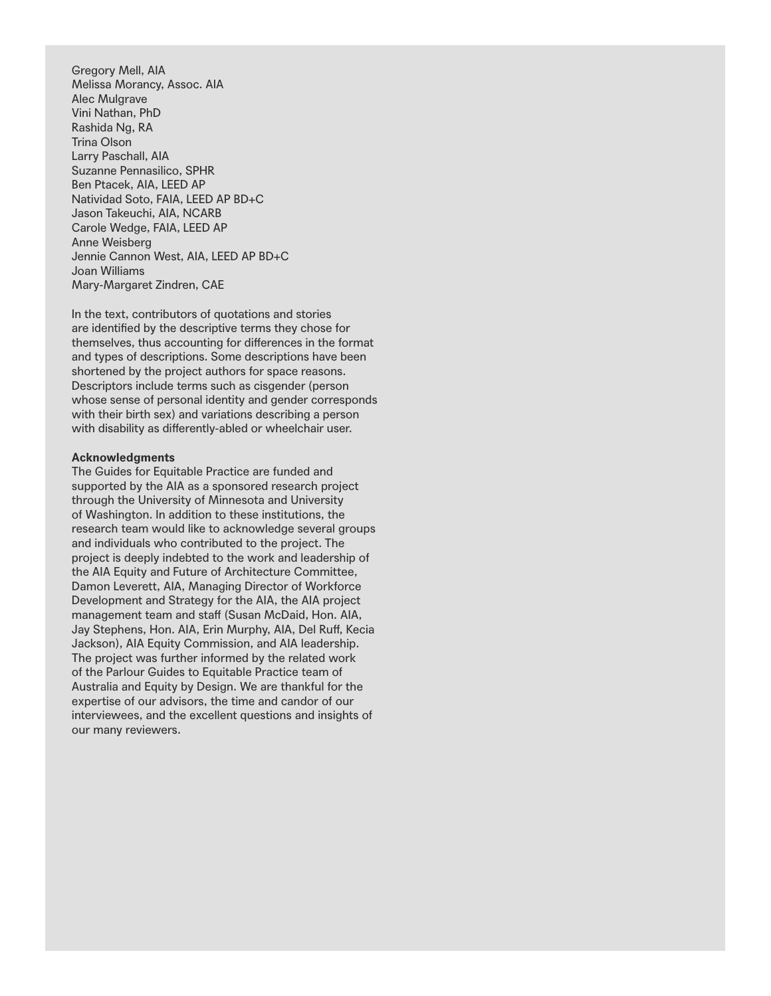Gregory Mell, AIA Melissa Morancy, Assoc. AIA Alec Mulgrave Vini Nathan, PhD Rashida Ng, RA Trina Olson Larry Paschall, AIA Suzanne Pennasilico, SPHR Ben Ptacek, AIA, LEED AP Natividad Soto, FAIA, LEED AP BD+C Jason Takeuchi, AIA, NCARB Carole Wedge, FAIA, LEED AP Anne Weisberg Jennie Cannon West, AIA, LEED AP BD+C Joan Williams Mary-Margaret Zindren, CAE

In the text, contributors of quotations and stories are identified by the descriptive terms they chose for themselves, thus accounting for differences in the format and types of descriptions. Some descriptions have been shortened by the project authors for space reasons. Descriptors include terms such as cisgender (person whose sense of personal identity and gender corresponds with their birth sex) and variations describing a person with disability as differently-abled or wheelchair user.

#### **Acknowledgments**

The Guides for Equitable Practice are funded and supported by the AIA as a sponsored research project through the University of Minnesota and University of Washington. In addition to these institutions, the research team would like to acknowledge several groups and individuals who contributed to the project. The project is deeply indebted to the work and leadership of the AIA Equity and Future of Architecture Committee, Damon Leverett, AIA, Managing Director of Workforce Development and Strategy for the AIA, the AIA project management team and staff (Susan McDaid, Hon. AIA, Jay Stephens, Hon. AIA, Erin Murphy, AIA, Del Ruff, Kecia Jackson), AIA Equity Commission, and AIA leadership. The project was further informed by the related work of the Parlour Guides to Equitable Practice team of Australia and Equity by Design. We are thankful for the expertise of our advisors, the time and candor of our interviewees, and the excellent questions and insights of our many reviewers.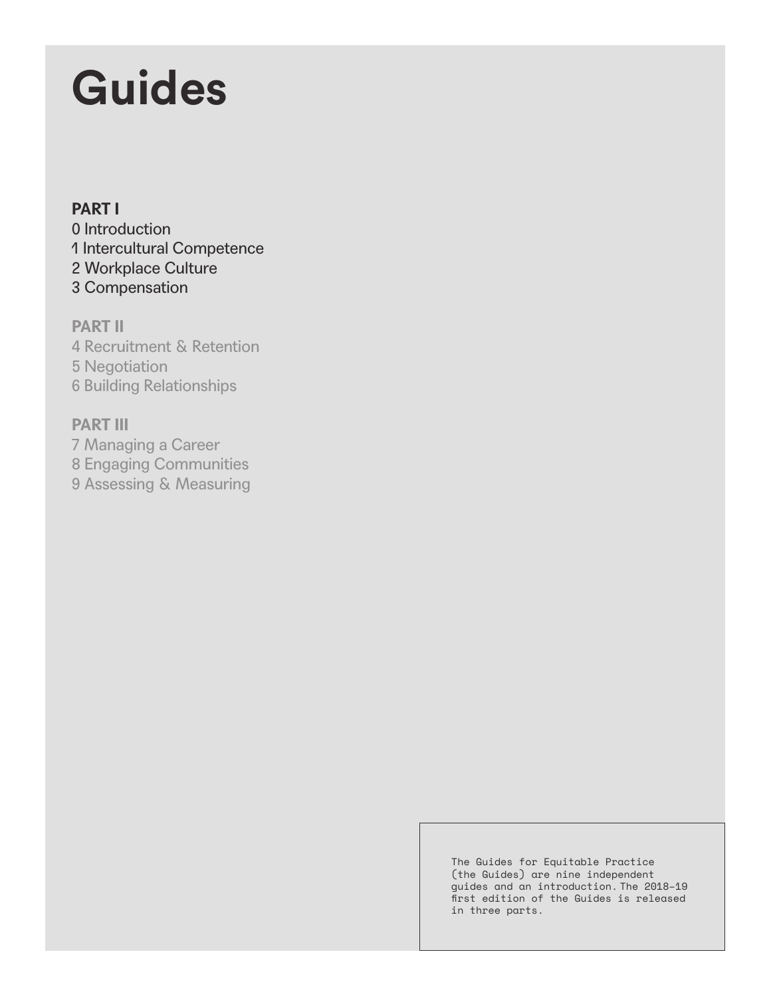## **Guides**

#### **PART I**

0 Introduction 1 Intercultural Competence 2 Workplace Culture 3 Compensation

**PART II** 4 Recruitment & Retention 5 Negotiation 6 Building Relationships

### **PART III**

7 Managing a Career 8 Engaging Communities 9 Assessing & Measuring

> The Guides for Equitable Practice (the Guides) are nine independent guides and an introduction. The 2018–19 first edition of the Guides is released in three parts.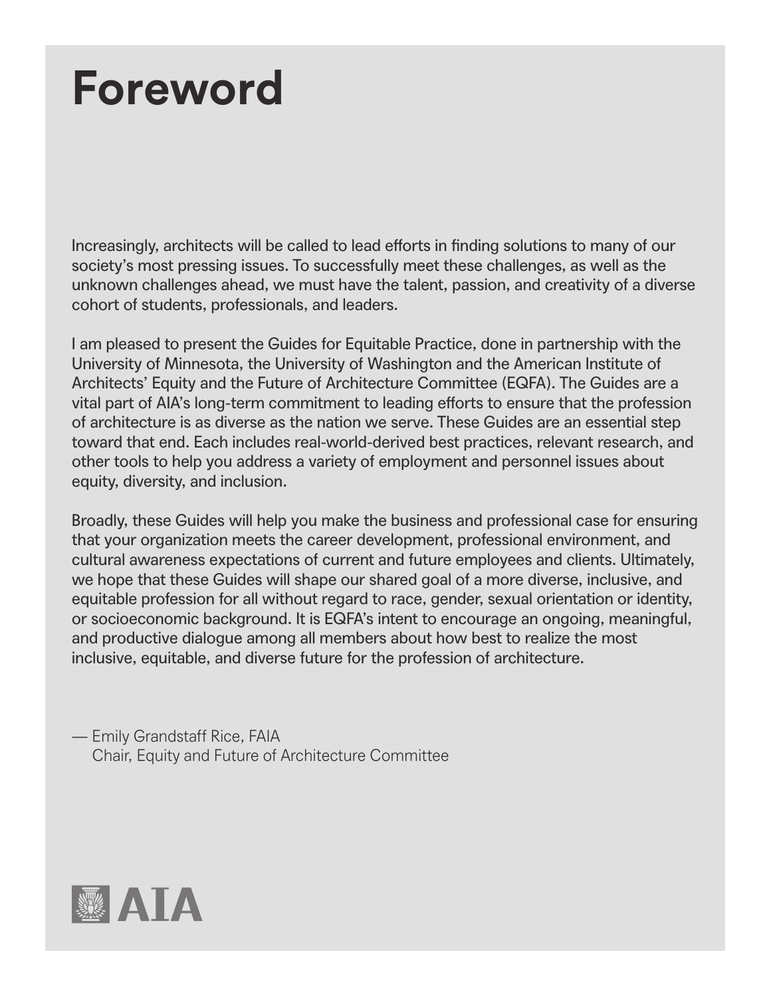### **Foreword**

Increasingly, architects will be called to lead efforts in finding solutions to many of our society's most pressing issues. To successfully meet these challenges, as well as the unknown challenges ahead, we must have the talent, passion, and creativity of a diverse cohort of students, professionals, and leaders.

I am pleased to present the Guides for Equitable Practice, done in partnership with the University of Minnesota, the University of Washington and the American Institute of Architects' Equity and the Future of Architecture Committee (EQFA). The Guides are a vital part of AIA's long-term commitment to leading efforts to ensure that the profession of architecture is as diverse as the nation we serve. These Guides are an essential step toward that end. Each includes real-world-derived best practices, relevant research, and other tools to help you address a variety of employment and personnel issues about equity, diversity, and inclusion.

Broadly, these Guides will help you make the business and professional case for ensuring that your organization meets the career development, professional environment, and cultural awareness expectations of current and future employees and clients. Ultimately, we hope that these Guides will shape our shared goal of a more diverse, inclusive, and equitable profession for all without regard to race, gender, sexual orientation or identity, or socioeconomic background. It is EQFA's intent to encourage an ongoing, meaningful, and productive dialogue among all members about how best to realize the most inclusive, equitable, and diverse future for the profession of architecture.

— Emily Grandstaff Rice, FAIA Chair, Equity and Future of Architecture Committee

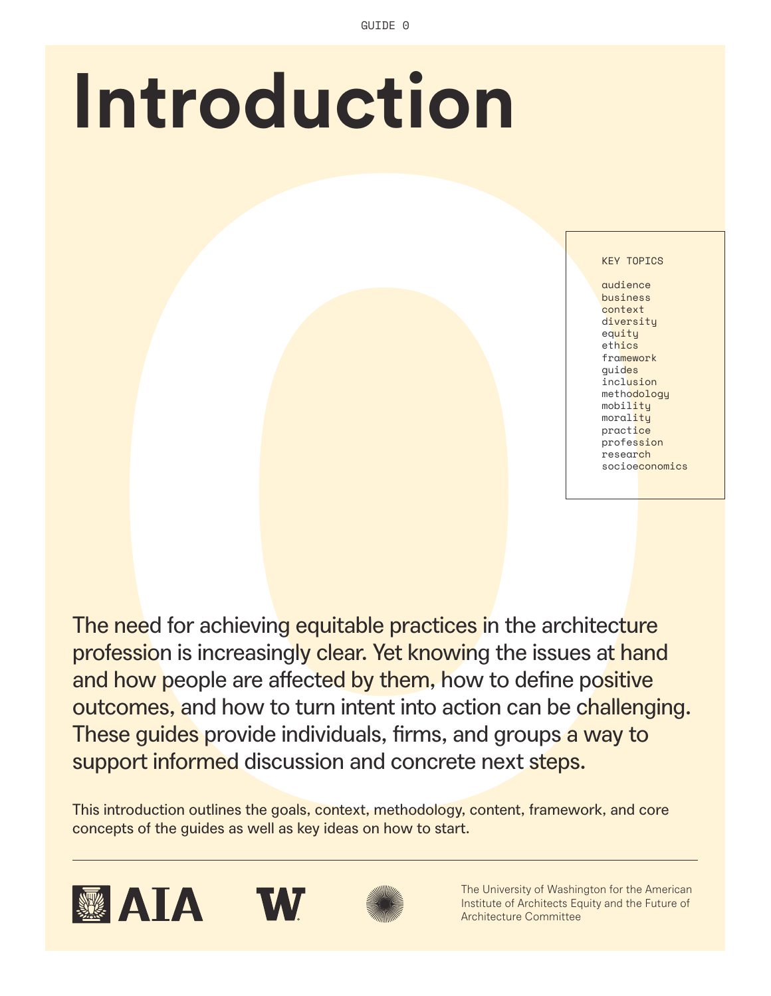# **Introduction**

KEY TOPICS

audience business context diversity equity ethics framework guides inclusion methodology mobility morality practice profession research socioeconomics

**0** The need for achieving equitable practices in the architecture profession is increasingly clear. Yet knowing the issues at hand and how people are affected by them, how to define positive outcomes, and how to turn intent into action can be challenging. These guides provide individuals, firms, and groups a way to support informed discussion and concrete next steps.

This introduction outlines the goals, context, methodology, content, framework, and core concepts of the guides as well as key ideas on how to start.









The University of Washington for the American Institute of Architects Equity and the Future of Architecture Committee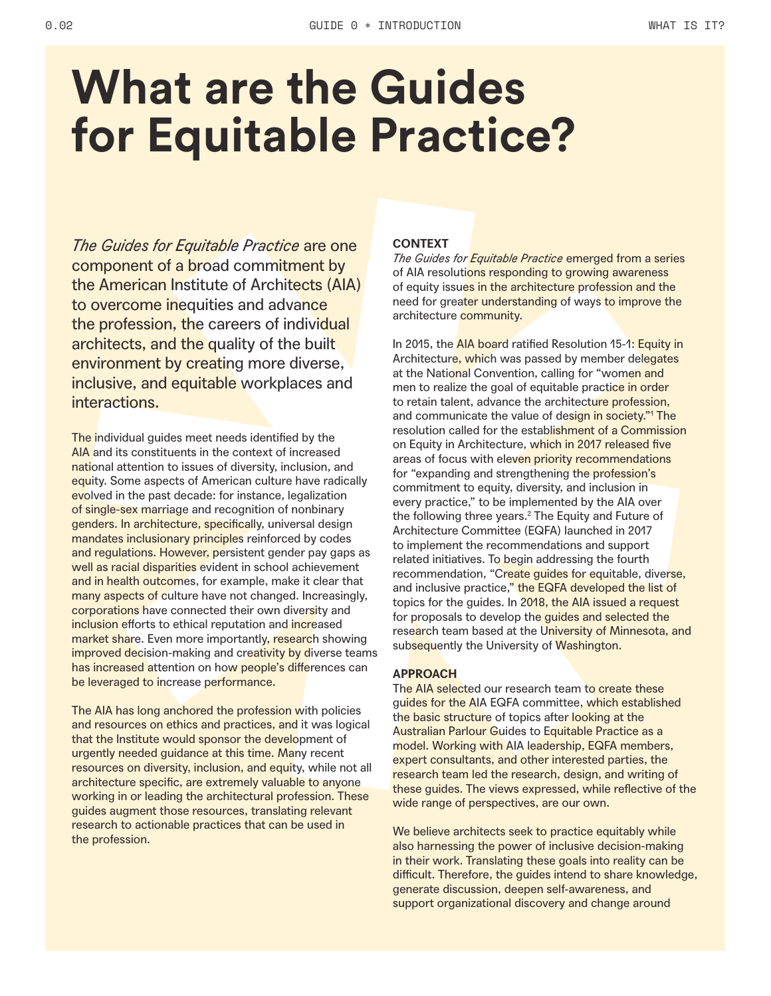### **What are the Guides for Equitable Practice?**

*The Guides for Equitable Practice* are one component of a broad commitment by the American Institute of Architects (AIA) to overcome inequities and advance the profession, the careers of individual architects, and the quality of the built environment by creating more diverse, inclusive, and equitable workplaces and interactions.

The individual guides meet needs identified by the AIA and its constituents in the context of increased national attention to issues of diversity, inclusion, and equity. Some aspects of American culture have radically evolved in the past decade: for instance, legalization of single-sex marriage and recognition of nonbinary genders. In architecture, specifically, universal design mandates inclusionary principles reinforced by codes and regulations. However, persistent gender pay gaps as well as racial disparities evident in school achievement and in health outcomes, for example, make it clear that many aspects of culture have not changed. Increasingly, corporations have connected their own diversity and inclusion efforts to ethical reputation and increased market share. Even more importantly, research showing improved decision-making and creativity by diverse teams has increased attention on how people's differences can be leveraged to increase performance.

The AIA has long anchored the profession with policies and resources on ethics and practices, and it was logical that the Institute would sponsor the development of urgently needed guidance at this time. Many recent resources on diversity, inclusion, and equity, while not all architecture specific, are extremely valuable to anyone working in or leading the architectural profession. These guides augment those resources, translating relevant research to actionable practices that can be used in the profession.

#### **CONTEXT**

*The Guides for Equitable Practice* emerged from a series of AIA resolutions responding to growing awareness of equity issues in the architecture profession and the need for greater understanding of ways to improve the architecture community.

In 2015, the AIA board ratified Resolution 15-1: Equity in Architecture, which was passed by member delegates at the National Convention, calling for "women and men to realize the goal of equitable practice in order to retain talent, advance the architecture profession, and communicate the value of design in society."<sup>1</sup> The resolution called for the establishment of a Commission on Equity in Architecture, which in 2017 released five areas of focus with eleven priority recommendations for "expanding and strengthening the profession's commitment to equity, diversity, and inclusion in every practice," to be implemented by the AIA over the following three years.<sup>2</sup> The Equity and Future of Architecture Committee (EQFA) launched in 2017 to implement the recommendations and support related initiatives. To begin addressing the fourth recommendation, "Create guides for equitable, diverse, and inclusive practice," the EQFA developed the list of topics for the guides. In 2018, the AIA issued a request for proposals to develop the guides and selected the research team based at the University of Minnesota, and subsequently the University of Washington.

#### **APPROACH**

The AIA selected our research team to create these guides for the AIA EQFA committee, which established the basic structure of topics after looking at the Australian Parlour Guides to Equitable Practice as a model. Working with AIA leadership, EQFA members, expert consultants, and other interested parties, the research team led the research, design, and writing of these guides. The views expressed, while reflective of the wide range of perspectives, are our own.

We believe architects seek to practice equitably while also harnessing the power of inclusive decision-making in their work. Translating these goals into reality can be difficult. Therefore, the guides intend to share knowledge, generate discussion, deepen self-awareness, and support organizational discovery and change around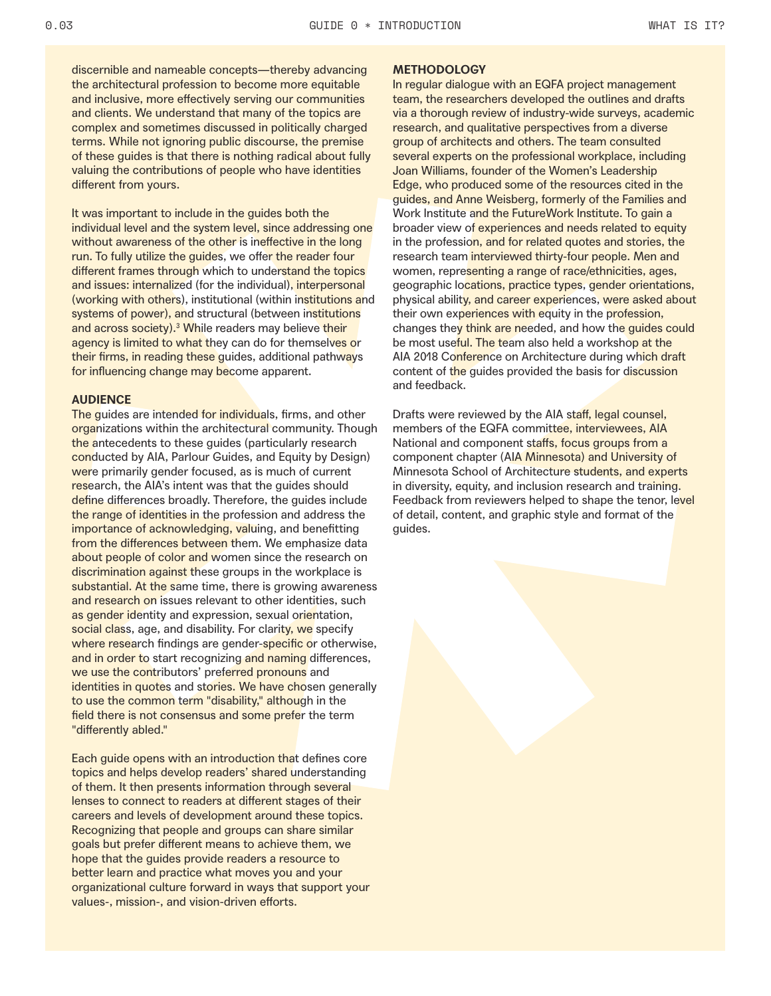discernible and nameable concepts—thereby advancing the architectural profession to become more equitable and inclusive, more effectively serving our communities and clients. We understand that many of the topics are complex and sometimes discussed in politically charged terms. While not ignoring public discourse, the premise of these guides is that there is nothing radical about fully valuing the contributions of people who have identities different from yours.

It was important to include in the guides both the individual level and the system level, since addressing one without awareness of the other is ineffective in the long run. To fully utilize the guides, we offer the reader four different frames through which to understand the topics and issues: internalized (for the individual), interpersonal (working with others), institutional (within institutions and systems of power), and structural (between institutions and across society).<sup>3</sup> While readers may believe their agency is limited to what they can do for themselves or their firms, in reading these guides, additional pathways for influencing change may become apparent.

#### **AUDIENCE**

The guides are intended for individuals, firms, and other organizations within the architectural community. Though the antecedents to these guides (particularly research conducted by AIA, Parlour Guides, and Equity by Design) were primarily gender focused, as is much of current research, the AIA's intent was that the guides should define differences broadly. Therefore, the guides include the range of identities in the profession and address the importance of acknowledging, valuing, and benefitting from the differences between them. We emphasize data about people of color and women since the research on discrimination against these groups in the workplace is substantial. At the same time, there is growing awareness and research on issues relevant to other identities, such as gender identity and expression, sexual orientation, social class, age, and disability. For clarity, we specify where research findings are gender-specific or otherwise, and in order to start recognizing and naming differences, we use the contributors' preferred pronouns and identities in quotes and stories. We have chosen generally to use the common term "disability," although in the field there is not consensus and some prefer the term "differently abled."

Each guide opens with an introduction that defines core topics and helps develop readers' shared understanding of them. It then presents information through several lenses to connect to readers at different stages of their careers and levels of development around these topics. Recognizing that people and groups can share similar goals but prefer different means to achieve them, we hope that the guides provide readers a resource to better learn and practice what moves you and your organizational culture forward in ways that support your values-, mission-, and vision-driven efforts.

#### **METHODOLOGY**

In regular dialogue with an EQFA project management team, the researchers developed the outlines and drafts via a thorough review of industry-wide surveys, academic research, and qualitative perspectives from a diverse group of architects and others. The team consulted several experts on the professional workplace, including Joan Williams, founder of the Women's Leadership Edge, who produced some of the resources cited in the guides, and Anne Weisberg, formerly of the Families and Work Institute and the FutureWork Institute. To gain a broader view of experiences and needs related to equity in the profession, and for related quotes and stories, the research team interviewed thirty-four people. Men and women, representing a range of race/ethnicities, ages, geographic locations, practice types, gender orientations, physical ability, and career experiences, were asked about their own experiences with equity in the profession, changes they think are needed, and how the guides could be most useful. The team also held a workshop at the AIA 2018 Conference on Architecture during which draft content of the guides provided the basis for discussion and feedback.

Drafts were reviewed by the AIA staff, legal counsel, members of the EQFA committee, interviewees, AIA National and component staffs, focus groups from a component chapter (AIA Minnesota) and University of Minnesota School of Architecture students, and experts in diversity, equity, and inclusion research and training. Feedback from reviewers helped to shape the tenor, level of detail, content, and graphic style and format of the guides.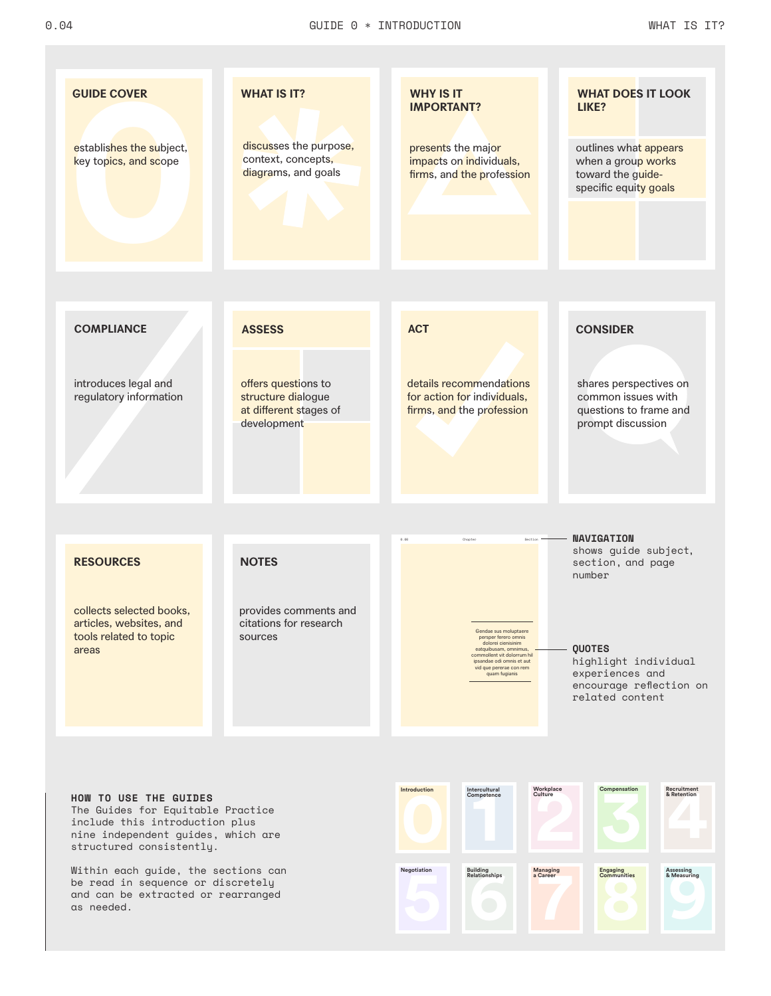

nine independent guides, which are structured consistently.

Within each guide, the sections can be read in sequence or discretely and can be extracted or rearranged as needed.

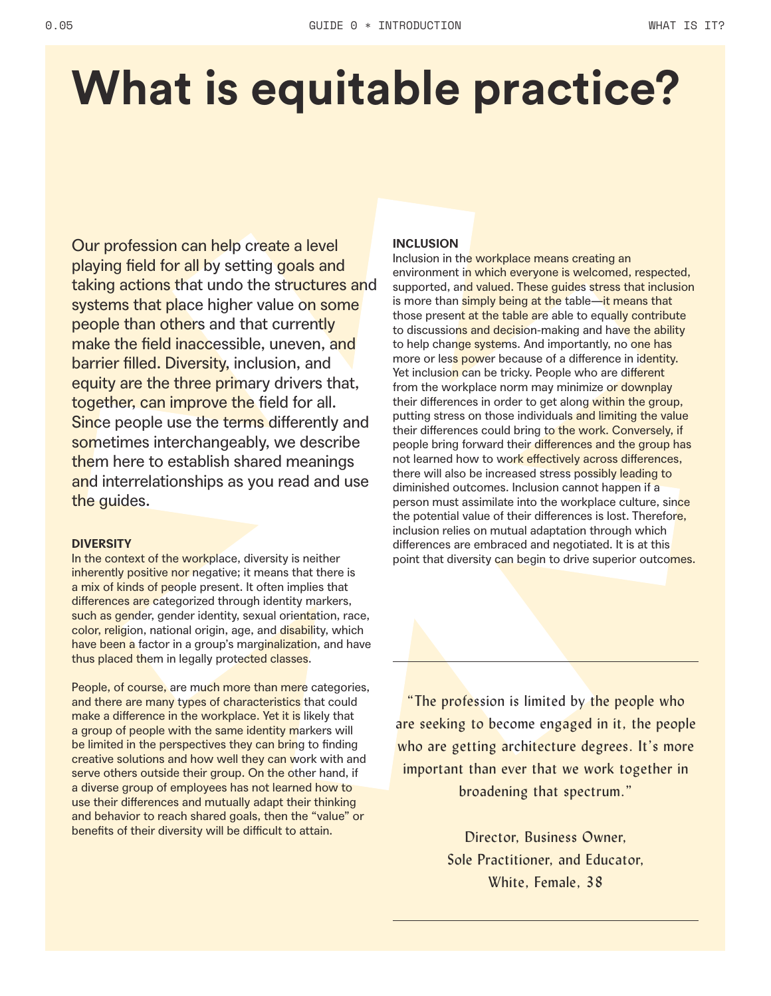### **What is equitable practice?**

Our profession can help create a level playing field for all by setting goals and taking actions that undo the structures and systems that place higher value on some people than others and that currently make the field inaccessible, uneven, and barrier filled. Diversity, inclusion, and equity are the three primary drivers that, together, can improve the field for all. Since people use the terms differently and sometimes interchangeably, we describe them here to establish shared meanings and interrelationships as you read and use the guides.

#### **DIVERSITY**

In the context of the workplace, diversity is neither inherently positive nor negative; it means that there is a mix of kinds of people present. It often implies that differences are categorized through identity markers, such as gender, gender identity, sexual orientation, race, color, religion, national origin, age, and disability, which have been a factor in a group's marginalization, and have thus placed them in legally protected classes.

People, of course, are much more than mere categories, and there are many types of characteristics that could make a difference in the workplace. Yet it is likely that a group of people with the same identity markers will be limited in the perspectives they can bring to finding creative solutions and how well they can work with and serve others outside their group. On the other hand, if a diverse group of employees has not learned how to use their differences and mutually adapt their thinking and behavior to reach shared goals, then the "value" or benefits of their diversity will be difficult to attain.

#### **INCLUSION**

Inclusion in the workplace means creating an environment in which everyone is welcomed, respected, supported, and valued. These guides stress that inclusion is more than simply being at the table—it means that those present at the table are able to equally contribute to discussions and decision-making and have the ability to help change systems. And importantly, no one has more or less power because of a difference in identity. Yet inclusion can be tricky. People who are different from the workplace norm may minimize or downplay their differences in order to get along within the group, putting stress on those individuals and limiting the value their differences could bring to the work. Conversely, if people bring forward their differences and the group has not learned how to work effectively across differences, there will also be increased stress possibly leading to diminished outcomes. Inclusion cannot happen if a person must assimilate into the workplace culture, since the potential value of their differences is lost. Therefore, inclusion relies on mutual adaptation through which differences are embraced and negotiated. It is at this point that diversity can begin to drive superior outcomes.

"The profession is limited by the people who are seeking to become engaged in it, the people who are getting architecture degrees. It's more important than ever that we work together in broadening that spectrum."

> Director, Business Owner, Sole Practitioner, and Educator, White, Female, 38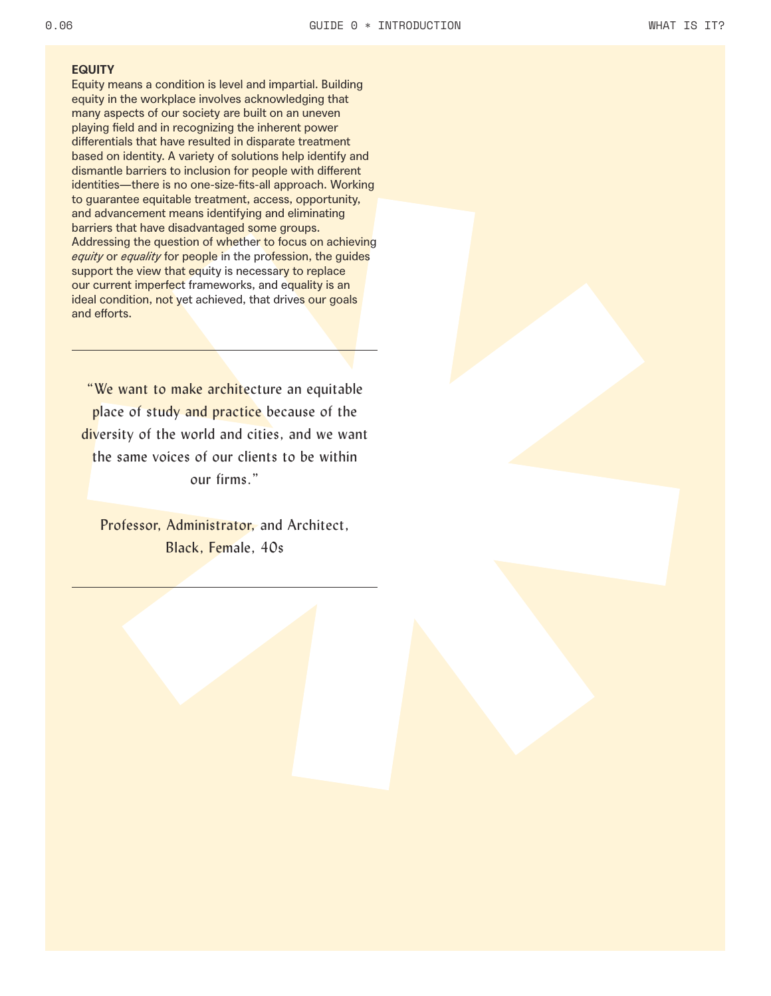#### **EQUITY**

Equity means a condition is level and impartial. Building equity in the workplace involves acknowledging that many aspects of our society are built on an uneven playing field and in recognizing the inherent power differentials that have resulted in disparate treatment based on identity. A variety of solutions help identify and dismantle barriers to inclusion for people with different identities—there is no one-size-fits-all approach. Working to guarantee equitable treatment, access, opportunity, and advancement means identifying and eliminating barriers that have disadvantaged some groups. Addressing the question of whether to focus on achieving *equity* or *equality* for people in the profession, the guides support the view that equity is necessary to replace our current imperfect frameworks, and equality is an ideal condition, not yet achieved, that drives our goals and efforts.

"We want to make architecture an equitable place of study and practice because of the diversity of the world and cities, and we want the same voices of our clients to be within our firms."

Professor, Administrator, and Architect, Black, Female, 40s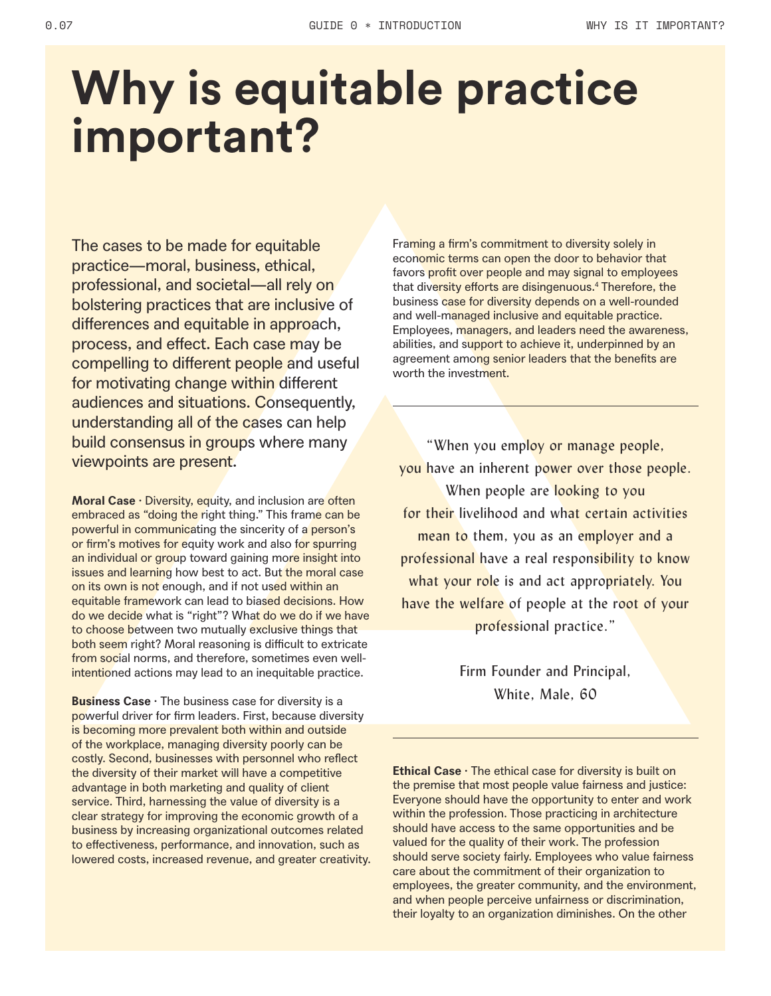### **Why is equitable practice important?**

The cases to be made for equitable practice—moral, business, ethical, professional, and societal—all rely on bolstering practices that are inclusive of differences and equitable in approach, process, and effect. Each case may be compelling to different people and useful for motivating change within different audiences and situations. Consequently, understanding all of the cases can help build consensus in groups where many viewpoints are present.

**Moral Case · Diversity, equity, and inclusion are often** embraced as "doing the right thing." This frame can be powerful in communicating the sincerity of a person's or firm's motives for equity work and also for spurring an individual or group toward gaining more insight into issues and learning how best to act. But the moral case on its own is not enough, and if not used within an equitable framework can lead to biased decisions. How do we decide what is "right"? What do we do if we have to choose between two mutually exclusive things that both seem right? Moral reasoning is difficult to extricate from social norms, and therefore, sometimes even wellintentioned actions may lead to an inequitable practice.

**Business Case ·** The business case for diversity is a powerful driver for firm leaders. First, because diversity is becoming more prevalent both within and outside of the workplace, managing diversity poorly can be costly. Second, businesses with personnel who reflect the diversity of their market will have a competitive advantage in both marketing and quality of client service. Third, harnessing the value of diversity is a clear strategy for improving the economic growth of a business by increasing organizational outcomes related to effectiveness, performance, and innovation, such as lowered costs, increased revenue, and greater creativity. Framing a firm's commitment to diversity solely in economic terms can open the door to behavior that favors profit over people and may signal to employees that diversity efforts are disingenuous.4 Therefore, the business case for diversity depends on a well-rounded and well-managed inclusive and equitable practice. Employees, managers, and leaders need the awareness, abilities, and support to achieve it, underpinned by an agreement among senior leaders that the benefits are worth the investment.

"When you employ or manage people, you have an inherent power over those people. When people are looking to you for their livelihood and what certain activities mean to them, you as an employer and a professional have a real responsibility to know what your role is and act appropriately. You have the welfare of people at the root of your professional practice."

> Firm Founder and Principal, White, Male, 60

**Ethical Case** · The ethical case for diversity is built on the premise that most people value fairness and justice: Everyone should have the opportunity to enter and work within the profession. Those practicing in architecture should have access to the same opportunities and be valued for the quality of their work. The profession should serve society fairly. Employees who value fairness care about the commitment of their organization to employees, the greater community, and the environment, and when people perceive unfairness or discrimination, their loyalty to an organization diminishes. On the other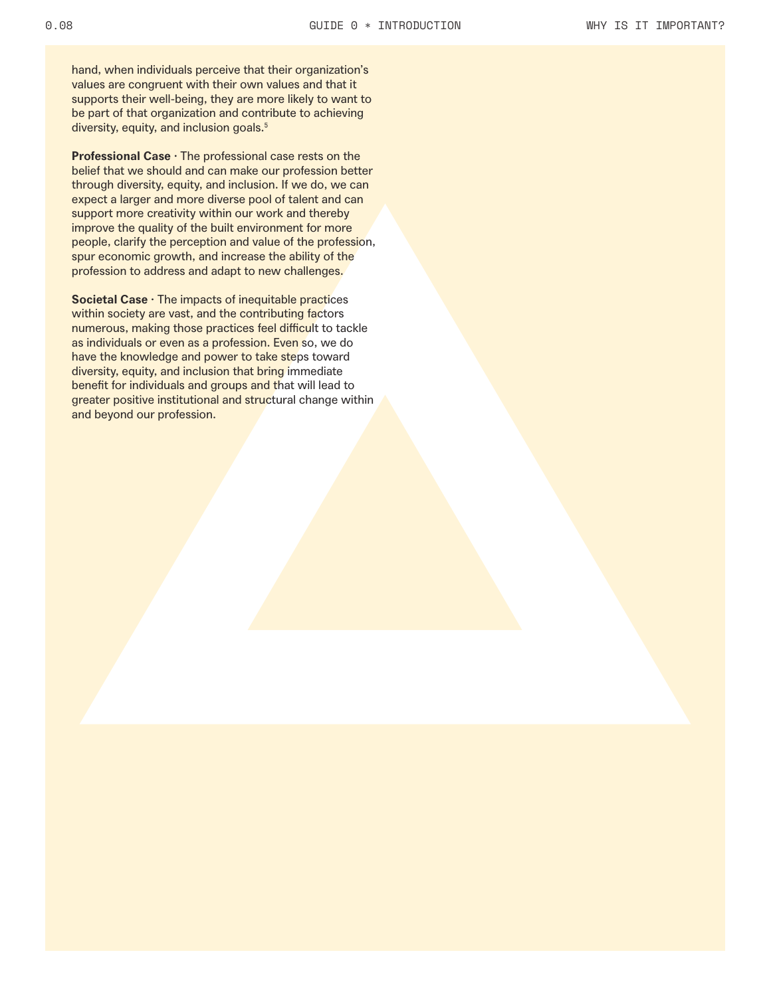hand, when individuals perceive that their organization's values are congruent with their own values and that it supports their well-being, they are more likely to want to be part of that organization and contribute to achieving diversity, equity, and inclusion goals.<sup>5</sup>

**Professional Case · The professional case rests on the** belief that we should and can make our profession better through diversity, equity, and inclusion. If we do, we can expect a larger and more diverse pool of talent and can support more creativity within our work and thereby improve the quality of the built environment for more people, clarify the perception and value of the profession, spur economic growth, and increase the ability of the profession to address and adapt to new challenges.

**Societal Case · The impacts of inequitable practices** within society are vast, and the contributing factors numerous, making those practices feel difficult to tackle as individuals or even as a profession. Even so, we do have the knowledge and power to take steps toward diversity, equity, and inclusion that bring immediate benefit for individuals and groups and that will lead to greater positive institutional and structural change within and beyond our profession.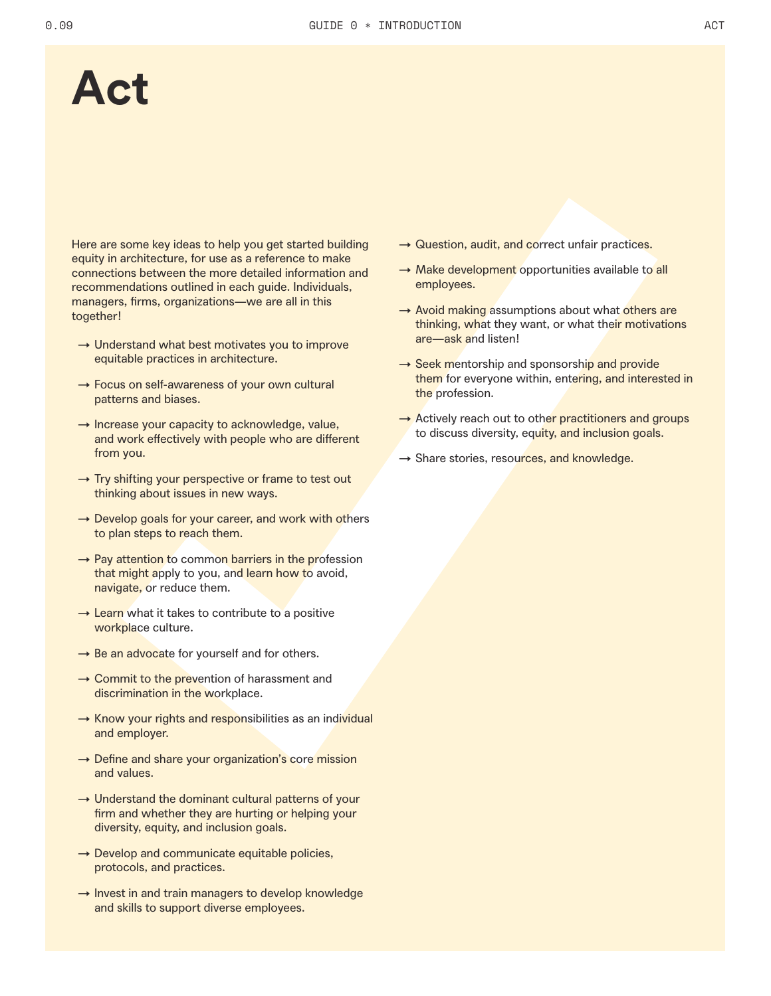### **Act**

Here are some key ideas to help you get started building equity in architecture, for use as a reference to make connections between the more detailed information and recommendations outlined in each guide. Individuals, managers, firms, organizations—we are all in this together!

- $\rightarrow$  Understand what best motivates you to improve equitable practices in architecture.
- $\rightarrow$  Focus on self-awareness of your own cultural patterns and biases.
- $\rightarrow$  Increase your capacity to acknowledge, value, and work effectively with people who are different from you.
- $\rightarrow$  Try shifting your perspective or frame to test out thinking about issues in new ways.
- $\rightarrow$  Develop goals for your career, and work with others to plan steps to reach them.
- $\rightarrow$  Pay attention to common barriers in the profession that might apply to you, and learn how to avoid, navigate, or reduce them.
- $\rightarrow$  Learn what it takes to contribute to a positive workplace culture.
- $\rightarrow$  Be an advocate for yourself and for others.
- $\rightarrow$  Commit to the prevention of harassment and discrimination in the workplace.
- → Know your rights and responsibilities as an individual and employer.
- $\rightarrow$  Define and share your organization's core mission and values.
- $\rightarrow$  Understand the dominant cultural patterns of your firm and whether they are hurting or helping your diversity, equity, and inclusion goals.
- $\rightarrow$  Develop and communicate equitable policies, protocols, and practices.
- $\rightarrow$  Invest in and train managers to develop knowledge and skills to support diverse employees.
- $\rightarrow$  Question, audit, and correct unfair practices.
- $\rightarrow$  Make development opportunities available to all employees.
- $\rightarrow$  Avoid making assumptions about what others are thinking, what they want, or what their motivations are—ask and listen!
- $\rightarrow$  Seek mentorship and sponsorship and provide them for everyone within, entering, and interested in the profession.
- $\rightarrow$  Actively reach out to other practitioners and groups to discuss diversity, equity, and inclusion goals.
- $\rightarrow$  Share stories, resources, and knowledge.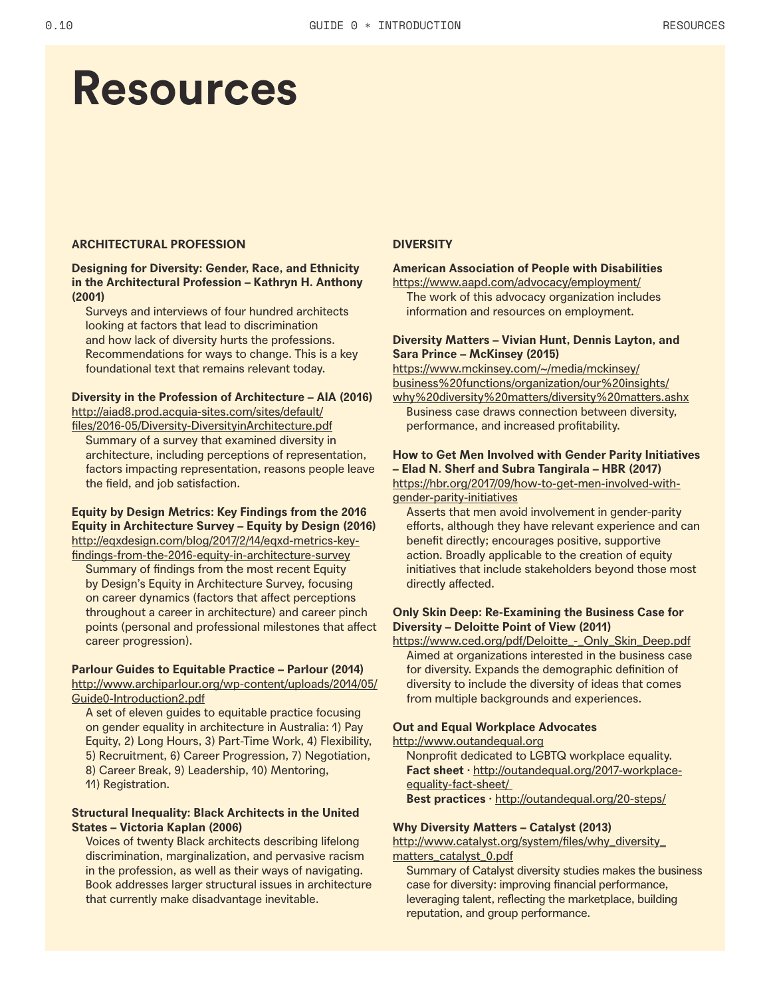### **Resources**

#### **ARCHITECTURAL PROFESSION DIVERSITY**

#### **Designing for Diversity: Gender, Race, and Ethnicity in the Architectural Profession – Kathryn H. Anthony (2001)**

Surveys and interviews of four hundred architects looking at factors that lead to discrimination and how lack of diversity hurts the professions. Recommendations for ways to change. This is a key foundational text that remains relevant today.

#### **Diversity in the Profession of Architecture – AIA (2016)**

http://aiad8.prod.acquia-sites.com/sites/default/ files/2016-05/Diversity-DiversityinArchitecture.pdf Summary of a survey that examined diversity in architecture, including perceptions of representation, factors impacting representation, reasons people leave the field, and job satisfaction.

#### **Equity by Design Metrics: Key Findings from the 2016 Equity in Architecture Survey – Equity by Design (2016)** http://eqxdesign.com/blog/2017/2/14/eqxd-metrics-key-

findings-from-the-2016-equity-in-architecture-survey Summary of findings from the most recent Equity by Design's Equity in Architecture Survey, focusing on career dynamics (factors that affect perceptions throughout a career in architecture) and career pinch points (personal and professional milestones that affect career progression).

#### **Parlour Guides to Equitable Practice – Parlour (2014)** http://www.archiparlour.org/wp-content/uploads/2014/05/ Guide0-Introduction2.pdf

A set of eleven guides to equitable practice focusing on gender equality in architecture in Australia: 1) Pay Equity, 2) Long Hours, 3) Part-Time Work, 4) Flexibility, 5) Recruitment, 6) Career Progression, 7) Negotiation, 8) Career Break, 9) Leadership, 10) Mentoring, 11) Registration.

#### **Structural Inequality: Black Architects in the United States – Victoria Kaplan (2006)**

Voices of twenty Black architects describing lifelong discrimination, marginalization, and pervasive racism in the profession, as well as their ways of navigating. Book addresses larger structural issues in architecture that currently make disadvantage inevitable.

#### **American Association of People with Disabilities**

https://www.aapd.com/advocacy/employment/ The work of this advocacy organization includes information and resources on employment.

#### **Diversity Matters – Vivian Hunt, Dennis Layton, and Sara Prince – McKinsey (2015)**

https://www.mckinsey.com/~/media/mckinsey/ business%20functions/organization/our%20insights/

why%20diversity%20matters/diversity%20matters.ashx Business case draws connection between diversity, performance, and increased profitability.

#### **How to Get Men Involved with Gender Parity Initiatives – Elad N. Sherf and Subra Tangirala – HBR (2017)**

https://hbr.org/2017/09/how-to-get-men-involved-withgender-parity-initiatives

Asserts that men avoid involvement in gender-parity efforts, although they have relevant experience and can benefit directly; encourages positive, supportive action. Broadly applicable to the creation of equity initiatives that include stakeholders beyond those most directly affected.

#### **Only Skin Deep: Re-Examining the Business Case for Diversity – Deloitte Point of View (2011)**

https://www.ced.org/pdf/Deloitte\_-\_Only\_Skin\_Deep.pdf Aimed at organizations interested in the business case for diversity. Expands the demographic definition of diversity to include the diversity of ideas that comes from multiple backgrounds and experiences.

#### **Out and Equal Workplace Advocates**

http://www.outandequal.org

Nonprofit dedicated to LGBTQ workplace equality. **Fact sheet ·** http://outandequal.org/2017-workplaceequality-fact-sheet/

**Best practices ·** http://outandequal.org/20-steps/

#### **Why Diversity Matters – Catalyst (2013)**

http://www.catalyst.org/system/files/why\_diversity\_ matters\_catalyst\_0.pdf

Summary of Catalyst diversity studies makes the business case for diversity: improving financial performance, leveraging talent, reflecting the marketplace, building reputation, and group performance.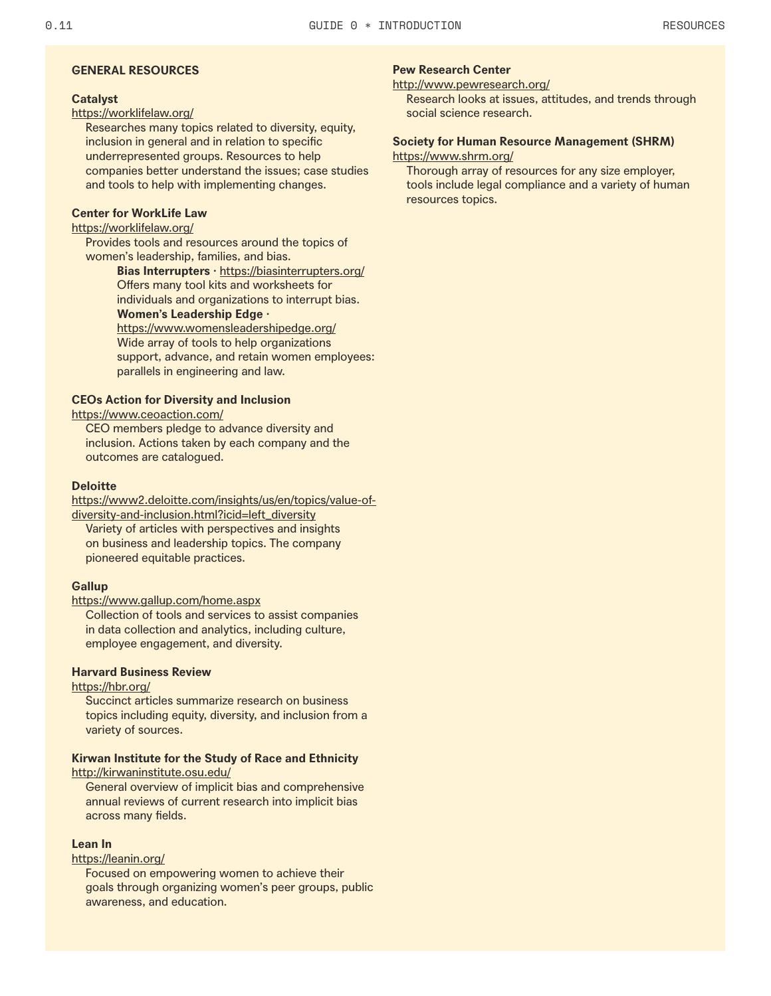#### **GENERAL RESOURCES Pew Research Center**

#### **Catalyst**

#### https://worklifelaw.org/

Researches many topics related to diversity, equity, inclusion in general and in relation to specific underrepresented groups. Resources to help companies better understand the issues; case studies and tools to help with implementing changes.

#### **Center for WorkLife Law**

#### https://worklifelaw.org/

Provides tools and resources around the topics of women's leadership, families, and bias.

> Bias Interrupters · https://biasinterrupters.org/ Offers many tool kits and worksheets for individuals and organizations to interrupt bias. **Women's Leadership Edge ·**

#### https://www.womensleadershipedge.org/

Wide array of tools to help organizations support, advance, and retain women employees: parallels in engineering and law.

#### **CEOs Action for Diversity and Inclusion**

#### https://www.ceoaction.com/

CEO members pledge to advance diversity and inclusion. Actions taken by each company and the outcomes are catalogued.

#### **Deloitte**

https://www2.deloitte.com/insights/us/en/topics/value-ofdiversity-and-inclusion.html?icid=left\_diversity

Variety of articles with perspectives and insights on business and leadership topics. The company pioneered equitable practices.

#### **Gallup**

#### https://www.gallup.com/home.aspx

Collection of tools and services to assist companies in data collection and analytics, including culture, employee engagement, and diversity.

#### **Harvard Business Review**

#### https://hbr.org/

Succinct articles summarize research on business topics including equity, diversity, and inclusion from a variety of sources.

#### **Kirwan Institute for the Study of Race and Ethnicity**

```
http://kirwaninstitute.osu.edu/
```
General overview of implicit bias and comprehensive annual reviews of current research into implicit bias across many fields.

#### **Lean In**

#### https://leanin.org/

Focused on empowering women to achieve their goals through organizing women's peer groups, public awareness, and education.

#### http://www.pewresearch.org/

Research looks at issues, attitudes, and trends through social science research.

#### **Society for Human Resource Management (SHRM)** https://www.shrm.org/

Thorough array of resources for any size employer, tools include legal compliance and a variety of human resources topics.